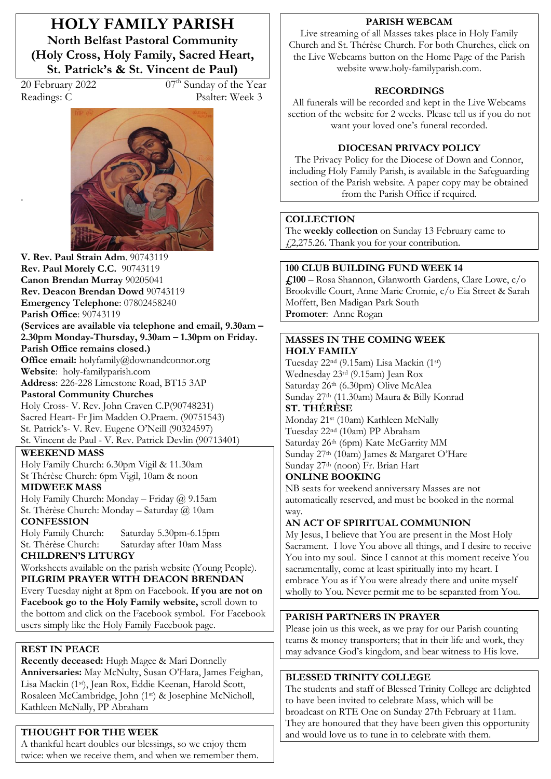**HOLY FAMILY PARISH North Belfast Pastoral Community (Holy Cross, Holy Family, Sacred Heart, St. Patrick's & St. Vincent de Paul)** 

.

 $20$  February 2022  $07<sup>th</sup>$  Sunday of the Year Readings: C Psalter: Week 3



**V. Rev. Paul Strain Adm**. 90743119 **Rev. Paul Morely C.C.** 90743119 **Canon Brendan Murray** 90205041 **Rev. Deacon Brendan Dowd** 90743119 **Emergency Telephone**: 07802458240 **Parish Office**: 90743119 **(Services are available via telephone and email, 9.30am – 2.30pm Monday-Thursday, 9.30am ² 1.30pm on Friday. Parish Office remains closed.) Office email:** holyfamily@downandconnor.org **Website**: holy-familyparish.com **Address**: 226-228 Limestone Road, BT15 3AP **Pastoral Community Churches** Holy Cross- V. Rev. John Craven C.P(90748231) Sacred Heart- Fr Jim Madden O.Praem. (90751543) St. Patrick's- V. Rev. Eugene O'Neill (90324597) St. Vincent de Paul - V. Rev. Patrick Devlin (90713401)

#### **WEEKEND MASS**

Holy Family Church: 6.30pm Vigil & 11.30am St Thérèse Church: 6pm Vigil, 10am & noon **MIDWEEK MASS**

Holy Family Church: Monday - Friday  $@$  9.15am St. Thérèse Church: Monday - Saturday @ 10am

**CONFESSION**<br>Holy Family Church: Saturday 5.30pm-6.15pm St. Thérèse Church: Saturday after 10am Mass **CHILDREN·S LITURGY** 

Worksheets available on the parish website (Young People). **PILGRIM PRAYER WITH DEACON BRENDAN**

Every Tuesday night at 8pm on Facebook. **If you are not on Facebook go to the Holy Family website,** scroll down to the bottom and click on the Facebook symbol. For Facebook users simply like the Holy Family Facebook page.

### **REST IN PEACE**

**Recently deceased:** Hugh Magee & Mari Donnelly Anniversaries: May McNulty, Susan O'Hara, James Feighan, Lisa Mackin (1st), Jean Rox, Eddie Keenan, Harold Scott, Rosaleen McCambridge, John (1st) & Josephine McNicholl, Kathleen McNally, PP Abraham

# **THOUGHT FOR THE WEEK**

A thankful heart doubles our blessings, so we enjoy them twice: when we receive them, and when we remember them.

#### **PARISH WEBCAM**

Live streaming of all Masses takes place in Holy Family Church and St. Thérèse Church. For both Churches, click on the Live Webcams button on the Home Page of the Parish website www.holy-familyparish.com.

### **RECORDINGS**

All funerals will be recorded and kept in the Live Webcams section of the website for 2 weeks. Please tell us if you do not want your loved one's funeral recorded.

### **DIOCESAN PRIVACY POLICY**

The Privacy Policy for the Diocese of Down and Connor, including Holy Family Parish, is available in the Safeguarding section of the Parish website. A paper copy may be obtained from the Parish Office if required.

#### **COLLECTION**

The **weekly collection** on Sunday 13 February came to £2,275.26. Thank you for your contribution.

#### **100 CLUB BUILDING FUND WEEK 14**

**£100** – Rosa Shannon, Glanworth Gardens, Clare Lowe, c/o Brookville Court, Anne Marie Cromie, c/o Eia Street & Sarah Moffett, Ben Madigan Park South **Promoter**: Anne Rogan

#### **MASSES IN THE COMING WEEK HOLY FAMILY**

Tuesday 22nd (9.15am) Lisa Mackin (1st) Wednesday 23rd (9.15am) Jean Rox Saturday 26th (6.30pm) Olive McAlea Sunday 27th (11.30am) Maura & Billy Konrad

# **ST. THÉRÈSE**

Monday 21st (10am) Kathleen McNally Tuesday 22nd (10am) PP Abraham Saturday 26th (6pm) Kate McGarrity MM Sunday  $27<sup>th</sup>$  (10am) James & Margaret O'Hare Sunday 27th (noon) Fr. Brian Hart

### **ONLINE BOOKING**

NB seats for weekend anniversary Masses are not automatically reserved, and must be booked in the normal way.

### **AN ACT OF SPIRITUAL COMMUNION**

My Jesus, I believe that You are present in the Most Holy Sacrament. I love You above all things, and I desire to receive You into my soul. Since I cannot at this moment receive You sacramentally, come at least spiritually into my heart. I embrace You as if You were already there and unite myself wholly to You. Never permit me to be separated from You.

### **PARISH PARTNERS IN PRAYER**

Please join us this week, as we pray for our Parish counting teams & money transporters; that in their life and work, they may advance God's kingdom, and bear witness to His love.

# **BLESSED TRINITY COLLEGE**

The students and staff of Blessed Trinity College are delighted to have been invited to celebrate Mass, which will be broadcast on RTE One on Sunday 27th February at 11am. They are honoured that they have been given this opportunity and would love us to tune in to celebrate with them.